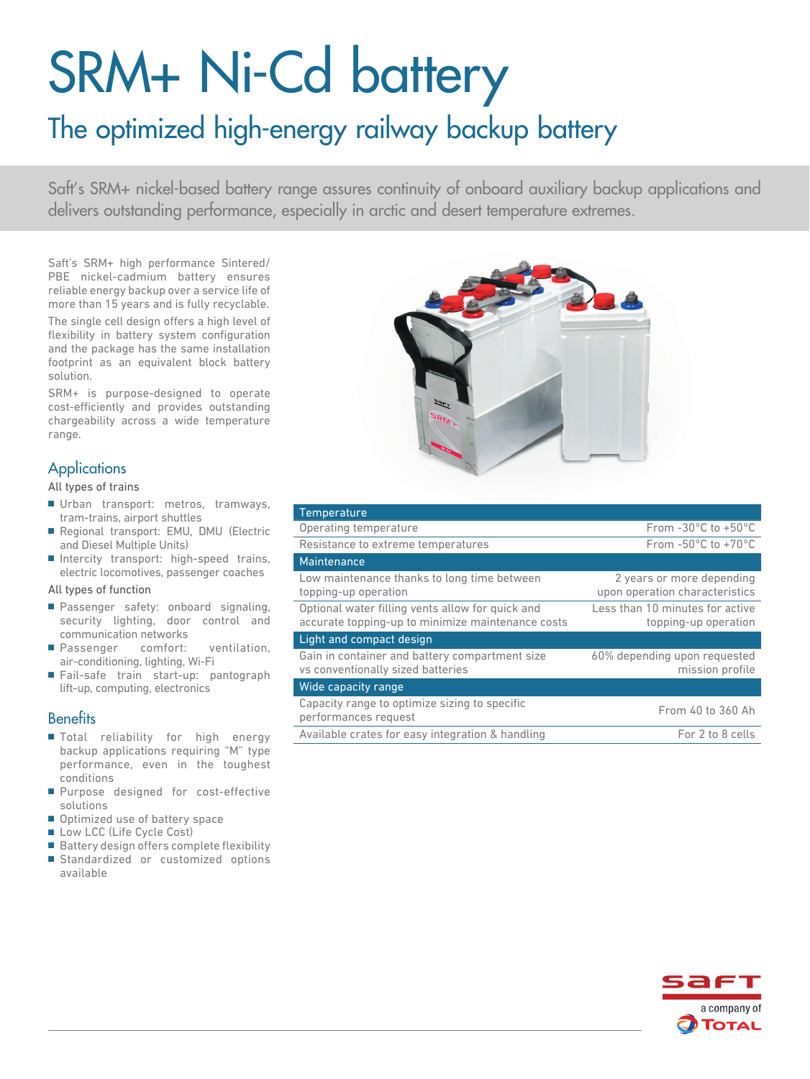# SRM+ Ni-Cd battery

# The optimized high-energy railway backup battery

Saft's SRM+ nickel-based battery range assures continuity of onboard auxiliary backup applications and delivers outstanding performance, especially in arctic and desert temperature extremes.

Saft's SRM+ high performance Sintered/ PBE nickel-cadmium battery ensures reliable energy backup over a service life of more than 15 years and is fully recyclable.

The single cell design offers a high level of flexibility in battery system configuration and the package has the same installation footprint as an equivalent block battery solution.

SRM+ is purpose-designed to operate cost-efficiently and provides outstanding chargeability across a wide temperature range.

# **Applications**

All types of trains

- Urban transport: metros, tramways, tram-trains, airport shuttles
- Regional transport: EMU, DMU (Electric and Diesel Multiple Units)
- Intercity transport: high-speed trains, electric locomotives, passenger coaches

#### All types of function

- Passenger safety: onboard signaling, security lighting, door control and communication networks
- Passenger comfort: ventilation, air-conditioning, lighting, Wi-Fi
- Fail-safe train start-up: pantograph lift-up, computing, electronics

### **Benefits**

- Total reliability for high energy backup applications requiring "M" type performance, even in the toughest conditions
- Purpose designed for cost-effective solutions
- Optimized use of battery space
- Low LCC (Life Cycle Cost)
- Battery design offers complete flexibility
- Standardized or customized options available



| Temperature                                                                                           |                                                             |
|-------------------------------------------------------------------------------------------------------|-------------------------------------------------------------|
| Operating temperature                                                                                 | From $-30^{\circ}$ C to $+50^{\circ}$ C                     |
| Resistance to extreme temperatures                                                                    | From $-50^{\circ}$ C to $+70^{\circ}$ C                     |
| Maintenance                                                                                           |                                                             |
| Low maintenance thanks to long time between<br>topping-up operation                                   | 2 years or more depending<br>upon operation characteristics |
| Optional water filling vents allow for quick and<br>accurate topping-up to minimize maintenance costs | Less than 10 minutes for active<br>topping-up operation     |
| Light and compact design                                                                              |                                                             |
| Gain in container and battery compartment size<br>vs conventionally sized batteries                   | 60% depending upon requested<br>mission profile             |
| Wide capacity range                                                                                   |                                                             |
| Capacity range to optimize sizing to specific<br>performances request                                 | From 40 to 360 Ah                                           |
| Available crates for easy integration & handling                                                      | For 2 to 8 cells                                            |
|                                                                                                       |                                                             |